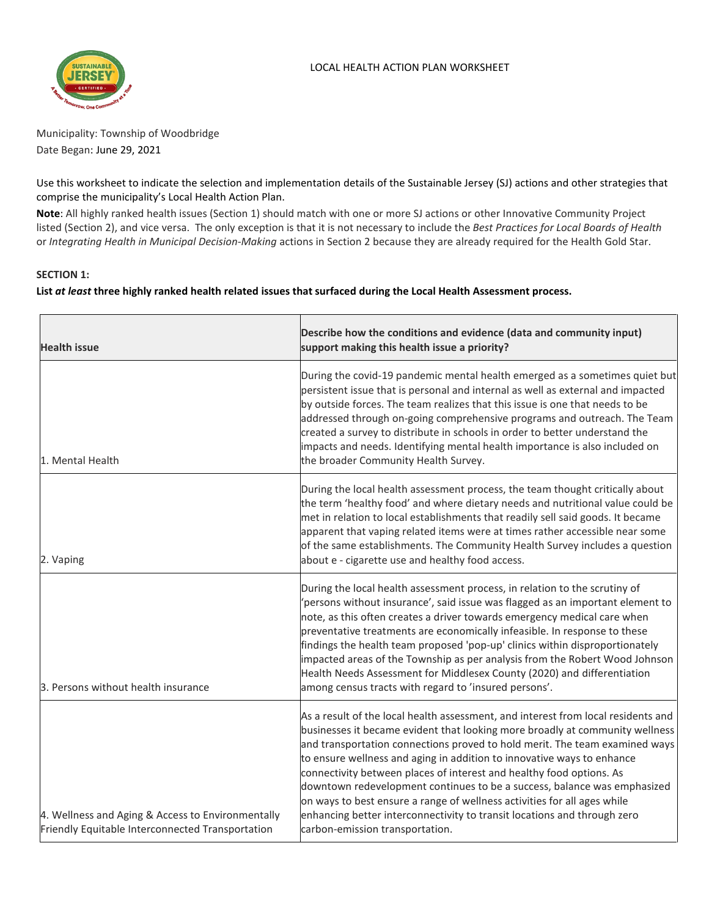

Municipality: Township of Woodbridge Date Began: June 29, 2021

Use this worksheet to indicate the selection and implementation details of the Sustainable Jersey (SJ) actions and other strategies that comprise the municipality's Local Health Action Plan.

**Note**: All highly ranked health issues (Section 1) should match with one or more SJ actions or other Innovative Community Project listed (Section 2), and vice versa. The only exception is that it is not necessary to include the *Best Practices for Local Boards of Health*  or *Integrating Health in Municipal Decision-Making* actions in Section 2 because they are already required for the Health Gold Star.

## **SECTION 1:**

 $\mathsf{r}$ 

## **List** *at least* **three highly ranked health related issues that surfaced during the Local Health Assessment process.**

| <b>Health issue</b>                                                                                   | Describe how the conditions and evidence (data and community input)<br>support making this health issue a priority?                                                                                                                                                                                                                                                                                                                                                                                                                                                                                                                                                       |
|-------------------------------------------------------------------------------------------------------|---------------------------------------------------------------------------------------------------------------------------------------------------------------------------------------------------------------------------------------------------------------------------------------------------------------------------------------------------------------------------------------------------------------------------------------------------------------------------------------------------------------------------------------------------------------------------------------------------------------------------------------------------------------------------|
| 1. Mental Health                                                                                      | During the covid-19 pandemic mental health emerged as a sometimes quiet but<br>persistent issue that is personal and internal as well as external and impacted<br>by outside forces. The team realizes that this issue is one that needs to be<br>addressed through on-going comprehensive programs and outreach. The Team<br>created a survey to distribute in schools in order to better understand the<br>impacts and needs. Identifying mental health importance is also included on<br>the broader Community Health Survey.                                                                                                                                          |
| 2. Vaping                                                                                             | During the local health assessment process, the team thought critically about<br>the term 'healthy food' and where dietary needs and nutritional value could be<br>met in relation to local establishments that readily sell said goods. It became<br>apparent that vaping related items were at times rather accessible near some<br>of the same establishments. The Community Health Survey includes a question<br>about e - cigarette use and healthy food access.                                                                                                                                                                                                     |
| 3. Persons without health insurance                                                                   | During the local health assessment process, in relation to the scrutiny of<br>'persons without insurance', said issue was flagged as an important element to<br>note, as this often creates a driver towards emergency medical care when<br>preventative treatments are economically infeasible. In response to these<br>findings the health team proposed 'pop-up' clinics within disproportionately<br>impacted areas of the Township as per analysis from the Robert Wood Johnson<br>Health Needs Assessment for Middlesex County (2020) and differentiation<br>among census tracts with regard to 'insured persons'.                                                  |
| 4. Wellness and Aging & Access to Environmentally<br>Friendly Equitable Interconnected Transportation | As a result of the local health assessment, and interest from local residents and<br>businesses it became evident that looking more broadly at community wellness<br>and transportation connections proved to hold merit. The team examined ways<br>to ensure wellness and aging in addition to innovative ways to enhance<br>connectivity between places of interest and healthy food options. As<br>downtown redevelopment continues to be a success, balance was emphasized<br>on ways to best ensure a range of wellness activities for all ages while<br>enhancing better interconnectivity to transit locations and through zero<br>carbon-emission transportation. |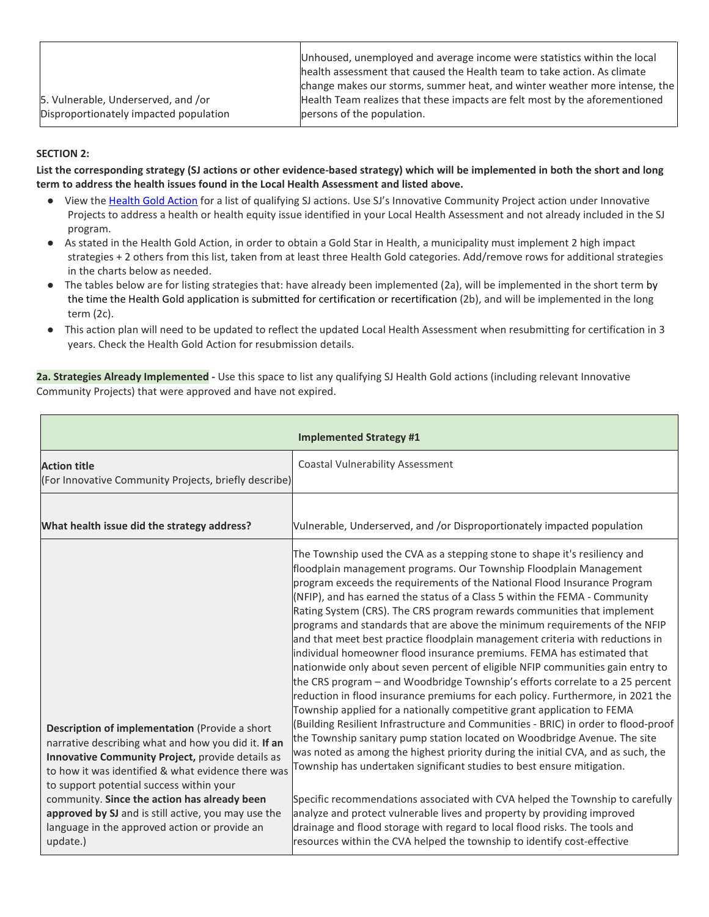|                                        | Unhoused, unemployed and average income were statistics within the local<br>health assessment that caused the Health team to take action. As climate      |
|----------------------------------------|-----------------------------------------------------------------------------------------------------------------------------------------------------------|
| 5. Vulnerable, Underserved, and /or    | change makes our storms, summer heat, and winter weather more intense, the<br>Health Team realizes that these impacts are felt most by the aforementioned |
| Disproportionately impacted population | persons of the population.                                                                                                                                |

## **SECTION 2:**

**List the corresponding strategy (SJ actions or other evidence-based strategy) which will be implemented in both the short and long term to address the health issues found in the Local Health Assessment and listed above.** 

- View the [Health Gold Action](https://www.sustainablejersey.com/actions/gold-star-standards/#open/action/590) for a list of qualifying SJ actions. Use SJ's Innovative Community Project action under Innovative Projects to address a health or health equity issue identified in your Local Health Assessment and not already included in the SJ program.
- As stated in the Health Gold Action, in order to obtain a Gold Star in Health, a municipality must implement 2 high impact strategies + 2 others from this list, taken from at least three Health Gold categories. Add/remove rows for additional strategies in the charts below as needed.
- The tables below are for listing strategies that: have already been implemented (2a), will be implemented in the short term by the time the Health Gold application is submitted for certification or recertification (2b), and will be implemented in the long term (2c).
- This action plan will need to be updated to reflect the updated Local Health Assessment when resubmitting for certification in 3 years. Check the Health Gold Action for resubmission details.

**2a. Strategies Already Implemented -** Use this space to list any qualifying SJ Health Gold actions (including relevant Innovative Community Projects) that were approved and have not expired.

|                                                                                                                                                                                                                                                             | <b>Implemented Strategy #1</b>                                                                                                                                                                                                                                                                                                                                                                                                                                                                                                                                                                                                                                                                                                                                                                                                                                                                                                                                                                                                                                                                                                                                                                                                                                                                  |
|-------------------------------------------------------------------------------------------------------------------------------------------------------------------------------------------------------------------------------------------------------------|-------------------------------------------------------------------------------------------------------------------------------------------------------------------------------------------------------------------------------------------------------------------------------------------------------------------------------------------------------------------------------------------------------------------------------------------------------------------------------------------------------------------------------------------------------------------------------------------------------------------------------------------------------------------------------------------------------------------------------------------------------------------------------------------------------------------------------------------------------------------------------------------------------------------------------------------------------------------------------------------------------------------------------------------------------------------------------------------------------------------------------------------------------------------------------------------------------------------------------------------------------------------------------------------------|
| <b>Action title</b><br>(For Innovative Community Projects, briefly describe)                                                                                                                                                                                | <b>Coastal Vulnerability Assessment</b>                                                                                                                                                                                                                                                                                                                                                                                                                                                                                                                                                                                                                                                                                                                                                                                                                                                                                                                                                                                                                                                                                                                                                                                                                                                         |
| What health issue did the strategy address?                                                                                                                                                                                                                 | Vulnerable, Underserved, and /or Disproportionately impacted population                                                                                                                                                                                                                                                                                                                                                                                                                                                                                                                                                                                                                                                                                                                                                                                                                                                                                                                                                                                                                                                                                                                                                                                                                         |
| Description of implementation (Provide a short<br>narrative describing what and how you did it. If an<br>Innovative Community Project, provide details as<br>to how it was identified & what evidence there was<br>to support potential success within your | The Township used the CVA as a stepping stone to shape it's resiliency and<br>floodplain management programs. Our Township Floodplain Management<br>program exceeds the requirements of the National Flood Insurance Program<br>(NFIP), and has earned the status of a Class 5 within the FEMA - Community<br>Rating System (CRS). The CRS program rewards communities that implement<br>programs and standards that are above the minimum requirements of the NFIP<br>and that meet best practice floodplain management criteria with reductions in<br>individual homeowner flood insurance premiums. FEMA has estimated that<br>nationwide only about seven percent of eligible NFIP communities gain entry to<br>the CRS program - and Woodbridge Township's efforts correlate to a 25 percent<br>reduction in flood insurance premiums for each policy. Furthermore, in 2021 the<br>Township applied for a nationally competitive grant application to FEMA<br>Building Resilient Infrastructure and Communities - BRIC) in order to flood-proof<br>the Township sanitary pump station located on Woodbridge Avenue. The site<br>was noted as among the highest priority during the initial CVA, and as such, the<br>Township has undertaken significant studies to best ensure mitigation. |
| community. Since the action has already been<br>approved by SJ and is still active, you may use the<br>language in the approved action or provide an<br>update.)                                                                                            | Specific recommendations associated with CVA helped the Township to carefully<br>analyze and protect vulnerable lives and property by providing improved<br>drainage and flood storage with regard to local flood risks. The tools and<br>resources within the CVA helped the township to identify cost-effective                                                                                                                                                                                                                                                                                                                                                                                                                                                                                                                                                                                                                                                                                                                                                                                                                                                                                                                                                                               |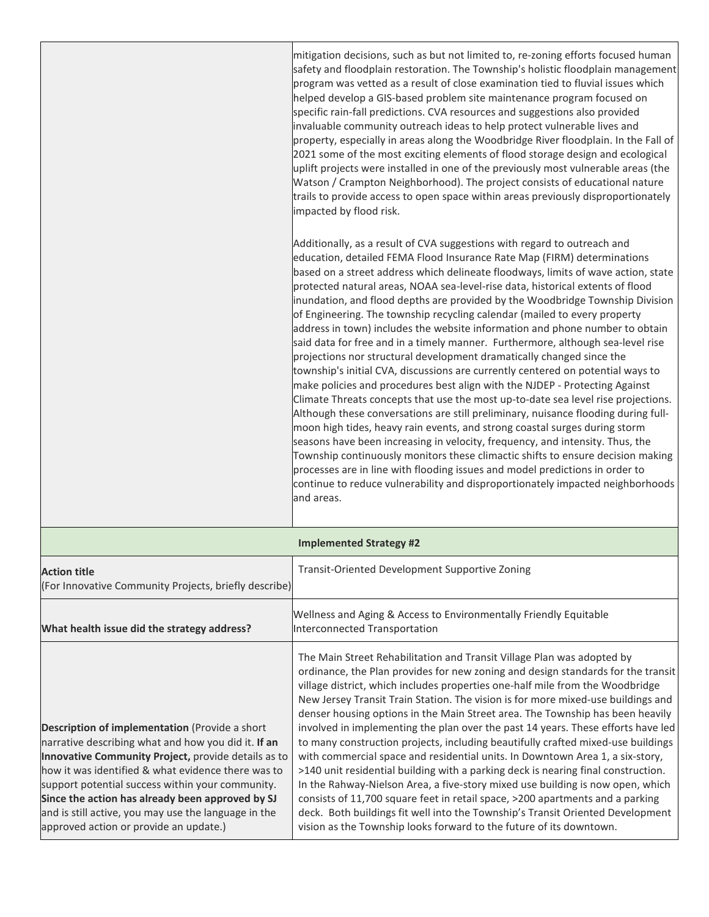|                                                                                                                                                                                                                                                                                                                                                                                                                              | mitigation decisions, such as but not limited to, re-zoning efforts focused human<br>safety and floodplain restoration. The Township's holistic floodplain management<br>program was vetted as a result of close examination tied to fluvial issues which<br>helped develop a GIS-based problem site maintenance program focused on<br>specific rain-fall predictions. CVA resources and suggestions also provided<br>invaluable community outreach ideas to help protect vulnerable lives and<br>property, especially in areas along the Woodbridge River floodplain. In the Fall of<br>2021 some of the most exciting elements of flood storage design and ecological<br>uplift projects were installed in one of the previously most vulnerable areas (the<br>Watson / Crampton Neighborhood). The project consists of educational nature<br>trails to provide access to open space within areas previously disproportionately<br>impacted by flood risk.                                                                                                                                                                                                                                                                                                                                                                                                                                                                                                                                                        |
|------------------------------------------------------------------------------------------------------------------------------------------------------------------------------------------------------------------------------------------------------------------------------------------------------------------------------------------------------------------------------------------------------------------------------|---------------------------------------------------------------------------------------------------------------------------------------------------------------------------------------------------------------------------------------------------------------------------------------------------------------------------------------------------------------------------------------------------------------------------------------------------------------------------------------------------------------------------------------------------------------------------------------------------------------------------------------------------------------------------------------------------------------------------------------------------------------------------------------------------------------------------------------------------------------------------------------------------------------------------------------------------------------------------------------------------------------------------------------------------------------------------------------------------------------------------------------------------------------------------------------------------------------------------------------------------------------------------------------------------------------------------------------------------------------------------------------------------------------------------------------------------------------------------------------------------------------------|
|                                                                                                                                                                                                                                                                                                                                                                                                                              | Additionally, as a result of CVA suggestions with regard to outreach and<br>education, detailed FEMA Flood Insurance Rate Map (FIRM) determinations<br>based on a street address which delineate floodways, limits of wave action, state<br>protected natural areas, NOAA sea-level-rise data, historical extents of flood<br>inundation, and flood depths are provided by the Woodbridge Township Division<br>of Engineering. The township recycling calendar (mailed to every property<br>address in town) includes the website information and phone number to obtain<br>said data for free and in a timely manner. Furthermore, although sea-level rise<br>projections nor structural development dramatically changed since the<br>township's initial CVA, discussions are currently centered on potential ways to<br>make policies and procedures best align with the NJDEP - Protecting Against<br>Climate Threats concepts that use the most up-to-date sea level rise projections.<br>Although these conversations are still preliminary, nuisance flooding during full-<br>moon high tides, heavy rain events, and strong coastal surges during storm<br>seasons have been increasing in velocity, frequency, and intensity. Thus, the<br>Township continuously monitors these climactic shifts to ensure decision making<br>processes are in line with flooding issues and model predictions in order to<br>continue to reduce vulnerability and disproportionately impacted neighborhoods<br>and areas. |
|                                                                                                                                                                                                                                                                                                                                                                                                                              | <b>Implemented Strategy #2</b>                                                                                                                                                                                                                                                                                                                                                                                                                                                                                                                                                                                                                                                                                                                                                                                                                                                                                                                                                                                                                                                                                                                                                                                                                                                                                                                                                                                                                                                                                      |
| <b>Action title</b><br>(For Innovative Community Projects, briefly describe)                                                                                                                                                                                                                                                                                                                                                 | Transit-Oriented Development Supportive Zoning                                                                                                                                                                                                                                                                                                                                                                                                                                                                                                                                                                                                                                                                                                                                                                                                                                                                                                                                                                                                                                                                                                                                                                                                                                                                                                                                                                                                                                                                      |
| What health issue did the strategy address?                                                                                                                                                                                                                                                                                                                                                                                  | Wellness and Aging & Access to Environmentally Friendly Equitable<br>Interconnected Transportation                                                                                                                                                                                                                                                                                                                                                                                                                                                                                                                                                                                                                                                                                                                                                                                                                                                                                                                                                                                                                                                                                                                                                                                                                                                                                                                                                                                                                  |
| Description of implementation (Provide a short<br>narrative describing what and how you did it. If an<br>Innovative Community Project, provide details as to<br>how it was identified & what evidence there was to<br>support potential success within your community.<br>Since the action has already been approved by SJ<br>and is still active, you may use the language in the<br>approved action or provide an update.) | The Main Street Rehabilitation and Transit Village Plan was adopted by<br>ordinance, the Plan provides for new zoning and design standards for the transit<br>village district, which includes properties one-half mile from the Woodbridge<br>New Jersey Transit Train Station. The vision is for more mixed-use buildings and<br>denser housing options in the Main Street area. The Township has been heavily<br>involved in implementing the plan over the past 14 years. These efforts have led<br>to many construction projects, including beautifully crafted mixed-use buildings<br>with commercial space and residential units. In Downtown Area 1, a six-story,<br>>140 unit residential building with a parking deck is nearing final construction.<br>In the Rahway-Nielson Area, a five-story mixed use building is now open, which<br>consists of 11,700 square feet in retail space, >200 apartments and a parking<br>deck. Both buildings fit well into the Township's Transit Oriented Development<br>vision as the Township looks forward to the future of its downtown.                                                                                                                                                                                                                                                                                                                                                                                                                          |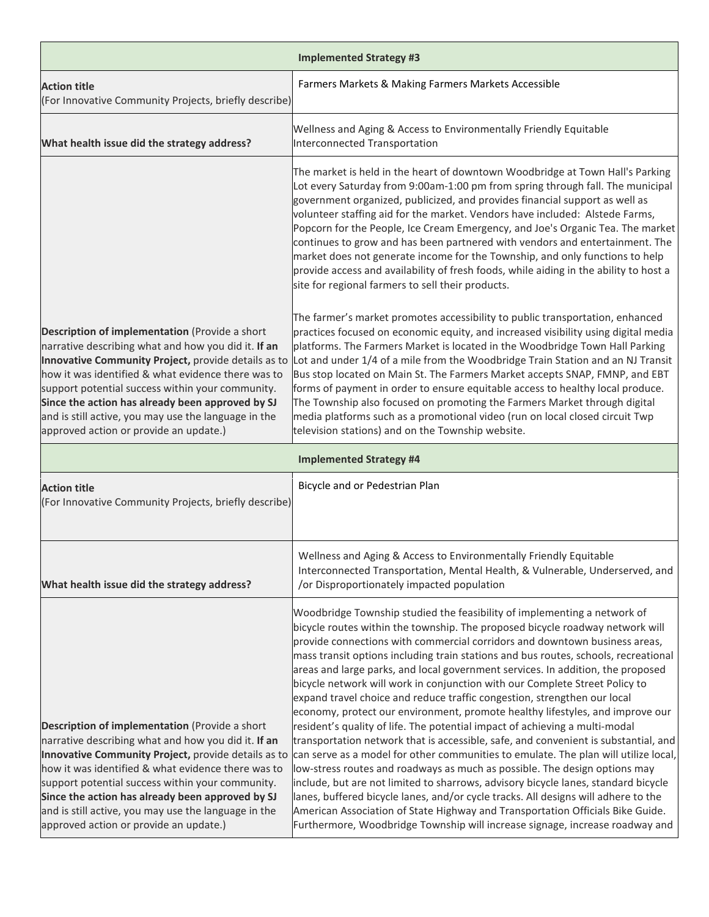| <b>Implemented Strategy #3</b>                                                                                                                                                                                                                                                                                                                                                                                               |                                                                                                                                                                                                                                                                                                                                                                                                                                                                                                                                                                                                                                                                                                                                                                                                                                                                                                                                                                                                                                                                                                                                                                                                                                                                                                                                                        |  |
|------------------------------------------------------------------------------------------------------------------------------------------------------------------------------------------------------------------------------------------------------------------------------------------------------------------------------------------------------------------------------------------------------------------------------|--------------------------------------------------------------------------------------------------------------------------------------------------------------------------------------------------------------------------------------------------------------------------------------------------------------------------------------------------------------------------------------------------------------------------------------------------------------------------------------------------------------------------------------------------------------------------------------------------------------------------------------------------------------------------------------------------------------------------------------------------------------------------------------------------------------------------------------------------------------------------------------------------------------------------------------------------------------------------------------------------------------------------------------------------------------------------------------------------------------------------------------------------------------------------------------------------------------------------------------------------------------------------------------------------------------------------------------------------------|--|
| <b>Action title</b><br>(For Innovative Community Projects, briefly describe)                                                                                                                                                                                                                                                                                                                                                 | Farmers Markets & Making Farmers Markets Accessible                                                                                                                                                                                                                                                                                                                                                                                                                                                                                                                                                                                                                                                                                                                                                                                                                                                                                                                                                                                                                                                                                                                                                                                                                                                                                                    |  |
| What health issue did the strategy address?                                                                                                                                                                                                                                                                                                                                                                                  | Wellness and Aging & Access to Environmentally Friendly Equitable<br>Interconnected Transportation                                                                                                                                                                                                                                                                                                                                                                                                                                                                                                                                                                                                                                                                                                                                                                                                                                                                                                                                                                                                                                                                                                                                                                                                                                                     |  |
|                                                                                                                                                                                                                                                                                                                                                                                                                              | The market is held in the heart of downtown Woodbridge at Town Hall's Parking<br>Lot every Saturday from 9:00am-1:00 pm from spring through fall. The municipal<br>government organized, publicized, and provides financial support as well as<br>volunteer staffing aid for the market. Vendors have included: Alstede Farms,<br>Popcorn for the People, Ice Cream Emergency, and Joe's Organic Tea. The market<br>continues to grow and has been partnered with vendors and entertainment. The<br>market does not generate income for the Township, and only functions to help<br>provide access and availability of fresh foods, while aiding in the ability to host a<br>site for regional farmers to sell their products.                                                                                                                                                                                                                                                                                                                                                                                                                                                                                                                                                                                                                         |  |
| Description of implementation (Provide a short<br>narrative describing what and how you did it. If an<br>Innovative Community Project, provide details as to<br>how it was identified & what evidence there was to<br>support potential success within your community.<br>Since the action has already been approved by SJ<br>and is still active, you may use the language in the<br>approved action or provide an update.) | The farmer's market promotes accessibility to public transportation, enhanced<br>practices focused on economic equity, and increased visibility using digital media<br>platforms. The Farmers Market is located in the Woodbridge Town Hall Parking<br>Lot and under 1/4 of a mile from the Woodbridge Train Station and an NJ Transit<br>Bus stop located on Main St. The Farmers Market accepts SNAP, FMNP, and EBT<br>forms of payment in order to ensure equitable access to healthy local produce.<br>The Township also focused on promoting the Farmers Market through digital<br>media platforms such as a promotional video (run on local closed circuit Twp<br>television stations) and on the Township website.                                                                                                                                                                                                                                                                                                                                                                                                                                                                                                                                                                                                                              |  |
|                                                                                                                                                                                                                                                                                                                                                                                                                              | <b>Implemented Strategy #4</b>                                                                                                                                                                                                                                                                                                                                                                                                                                                                                                                                                                                                                                                                                                                                                                                                                                                                                                                                                                                                                                                                                                                                                                                                                                                                                                                         |  |
| <b>Action title</b><br>(For Innovative Community Projects, briefly describe)                                                                                                                                                                                                                                                                                                                                                 | Bicycle and or Pedestrian Plan                                                                                                                                                                                                                                                                                                                                                                                                                                                                                                                                                                                                                                                                                                                                                                                                                                                                                                                                                                                                                                                                                                                                                                                                                                                                                                                         |  |
| What health issue did the strategy address?                                                                                                                                                                                                                                                                                                                                                                                  | Wellness and Aging & Access to Environmentally Friendly Equitable<br>Interconnected Transportation, Mental Health, & Vulnerable, Underserved, and<br>/or Disproportionately impacted population                                                                                                                                                                                                                                                                                                                                                                                                                                                                                                                                                                                                                                                                                                                                                                                                                                                                                                                                                                                                                                                                                                                                                        |  |
| Description of implementation (Provide a short<br>narrative describing what and how you did it. If an<br>Innovative Community Project, provide details as to<br>how it was identified & what evidence there was to<br>support potential success within your community.<br>Since the action has already been approved by SJ<br>and is still active, you may use the language in the<br>approved action or provide an update.) | Woodbridge Township studied the feasibility of implementing a network of<br>bicycle routes within the township. The proposed bicycle roadway network will<br>provide connections with commercial corridors and downtown business areas,<br>mass transit options including train stations and bus routes, schools, recreational<br>areas and large parks, and local government services. In addition, the proposed<br>bicycle network will work in conjunction with our Complete Street Policy to<br>expand travel choice and reduce traffic congestion, strengthen our local<br>economy, protect our environment, promote healthy lifestyles, and improve our<br>resident's quality of life. The potential impact of achieving a multi-modal<br>transportation network that is accessible, safe, and convenient is substantial, and<br>can serve as a model for other communities to emulate. The plan will utilize local,<br>low-stress routes and roadways as much as possible. The design options may<br>include, but are not limited to sharrows, advisory bicycle lanes, standard bicycle<br>lanes, buffered bicycle lanes, and/or cycle tracks. All designs will adhere to the<br>American Association of State Highway and Transportation Officials Bike Guide.<br>Furthermore, Woodbridge Township will increase signage, increase roadway and |  |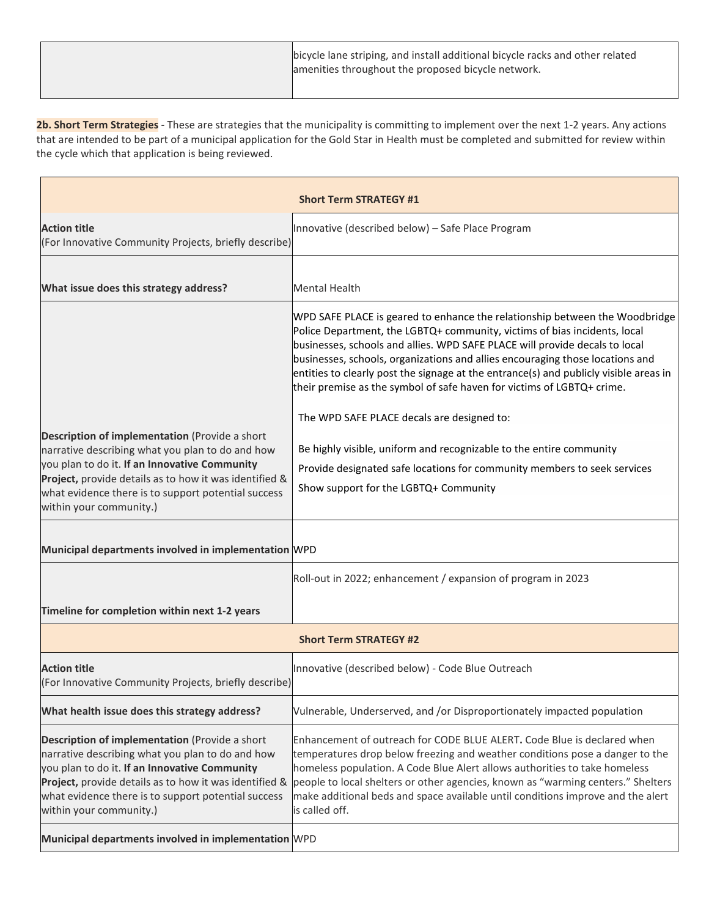| bicycle lane striping, and install additional bicycle racks and other related |
|-------------------------------------------------------------------------------|
| amenities throughout the proposed bicycle network.                            |

2b. Short Term Strategies - These are strategies that the municipality is committing to implement over the next 1-2 years. Any actions that are intended to be part of a municipal application for the Gold Star in Health must be completed and submitted for review within the cycle which that application is being reviewed.

| <b>Short Term STRATEGY #1</b>                                                                                                                                                                                                                                                                   |                                                                                                                                                                                                                                                                                                                                                                                                                                                                                             |  |
|-------------------------------------------------------------------------------------------------------------------------------------------------------------------------------------------------------------------------------------------------------------------------------------------------|---------------------------------------------------------------------------------------------------------------------------------------------------------------------------------------------------------------------------------------------------------------------------------------------------------------------------------------------------------------------------------------------------------------------------------------------------------------------------------------------|--|
| <b>Action title</b><br>(For Innovative Community Projects, briefly describe)                                                                                                                                                                                                                    | Innovative (described below) - Safe Place Program                                                                                                                                                                                                                                                                                                                                                                                                                                           |  |
| What issue does this strategy address?                                                                                                                                                                                                                                                          | <b>Mental Health</b>                                                                                                                                                                                                                                                                                                                                                                                                                                                                        |  |
|                                                                                                                                                                                                                                                                                                 | WPD SAFE PLACE is geared to enhance the relationship between the Woodbridge<br>Police Department, the LGBTQ+ community, victims of bias incidents, local<br>businesses, schools and allies. WPD SAFE PLACE will provide decals to local<br>businesses, schools, organizations and allies encouraging those locations and<br>entities to clearly post the signage at the entrance(s) and publicly visible areas in<br>their premise as the symbol of safe haven for victims of LGBTQ+ crime. |  |
|                                                                                                                                                                                                                                                                                                 | The WPD SAFE PLACE decals are designed to:                                                                                                                                                                                                                                                                                                                                                                                                                                                  |  |
| Description of implementation (Provide a short<br>narrative describing what you plan to do and how<br>you plan to do it. If an Innovative Community<br>Project, provide details as to how it was identified &                                                                                   | Be highly visible, uniform and recognizable to the entire community<br>Provide designated safe locations for community members to seek services                                                                                                                                                                                                                                                                                                                                             |  |
| what evidence there is to support potential success<br>within your community.)                                                                                                                                                                                                                  | Show support for the LGBTQ+ Community                                                                                                                                                                                                                                                                                                                                                                                                                                                       |  |
| Municipal departments involved in implementation WPD                                                                                                                                                                                                                                            |                                                                                                                                                                                                                                                                                                                                                                                                                                                                                             |  |
|                                                                                                                                                                                                                                                                                                 | Roll-out in 2022; enhancement / expansion of program in 2023                                                                                                                                                                                                                                                                                                                                                                                                                                |  |
| Timeline for completion within next 1-2 years                                                                                                                                                                                                                                                   |                                                                                                                                                                                                                                                                                                                                                                                                                                                                                             |  |
| <b>Short Term STRATEGY #2</b>                                                                                                                                                                                                                                                                   |                                                                                                                                                                                                                                                                                                                                                                                                                                                                                             |  |
| <b>Action title</b><br>(For Innovative Community Projects, briefly describe)                                                                                                                                                                                                                    | Innovative (described below) - Code Blue Outreach                                                                                                                                                                                                                                                                                                                                                                                                                                           |  |
| What health issue does this strategy address?                                                                                                                                                                                                                                                   | Vulnerable, Underserved, and /or Disproportionately impacted population                                                                                                                                                                                                                                                                                                                                                                                                                     |  |
| Description of implementation (Provide a short<br>narrative describing what you plan to do and how<br>you plan to do it. If an Innovative Community<br>Project, provide details as to how it was identified &<br>what evidence there is to support potential success<br>within your community.) | Enhancement of outreach for CODE BLUE ALERT. Code Blue is declared when<br>temperatures drop below freezing and weather conditions pose a danger to the<br>homeless population. A Code Blue Alert allows authorities to take homeless<br>people to local shelters or other agencies, known as "warming centers." Shelters<br>make additional beds and space available until conditions improve and the alert<br>is called off.                                                              |  |
| Municipal departments involved in implementation WPD                                                                                                                                                                                                                                            |                                                                                                                                                                                                                                                                                                                                                                                                                                                                                             |  |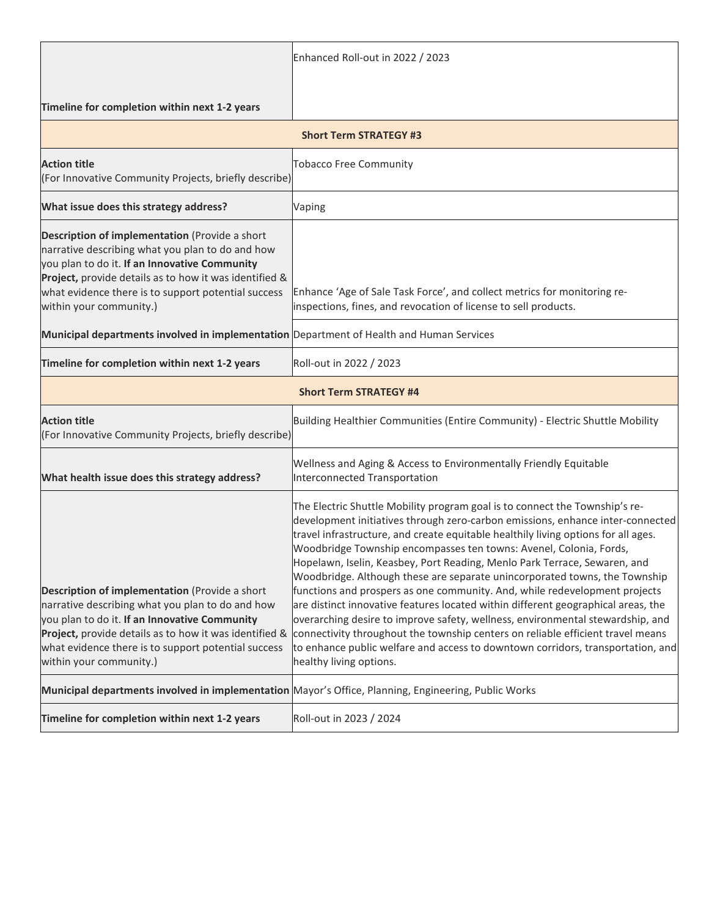|                                                                                                                                                                                                                                                                                                 | Enhanced Roll-out in 2022 / 2023                                                                                                                                                                                                                                                                                                                                                                                                                                                                                                                                                                                                                                                                                                                                                                                                                                                                                                           |  |
|-------------------------------------------------------------------------------------------------------------------------------------------------------------------------------------------------------------------------------------------------------------------------------------------------|--------------------------------------------------------------------------------------------------------------------------------------------------------------------------------------------------------------------------------------------------------------------------------------------------------------------------------------------------------------------------------------------------------------------------------------------------------------------------------------------------------------------------------------------------------------------------------------------------------------------------------------------------------------------------------------------------------------------------------------------------------------------------------------------------------------------------------------------------------------------------------------------------------------------------------------------|--|
| Timeline for completion within next 1-2 years                                                                                                                                                                                                                                                   |                                                                                                                                                                                                                                                                                                                                                                                                                                                                                                                                                                                                                                                                                                                                                                                                                                                                                                                                            |  |
|                                                                                                                                                                                                                                                                                                 | <b>Short Term STRATEGY #3</b>                                                                                                                                                                                                                                                                                                                                                                                                                                                                                                                                                                                                                                                                                                                                                                                                                                                                                                              |  |
| <b>Action title</b><br>(For Innovative Community Projects, briefly describe)                                                                                                                                                                                                                    | <b>Tobacco Free Community</b>                                                                                                                                                                                                                                                                                                                                                                                                                                                                                                                                                                                                                                                                                                                                                                                                                                                                                                              |  |
| What issue does this strategy address?                                                                                                                                                                                                                                                          | Vaping                                                                                                                                                                                                                                                                                                                                                                                                                                                                                                                                                                                                                                                                                                                                                                                                                                                                                                                                     |  |
| Description of implementation (Provide a short<br>narrative describing what you plan to do and how<br>you plan to do it. If an Innovative Community<br>Project, provide details as to how it was identified &<br>what evidence there is to support potential success<br>within your community.) | Enhance 'Age of Sale Task Force', and collect metrics for monitoring re-<br>inspections, fines, and revocation of license to sell products.                                                                                                                                                                                                                                                                                                                                                                                                                                                                                                                                                                                                                                                                                                                                                                                                |  |
| Municipal departments involved in implementation Department of Health and Human Services                                                                                                                                                                                                        |                                                                                                                                                                                                                                                                                                                                                                                                                                                                                                                                                                                                                                                                                                                                                                                                                                                                                                                                            |  |
| Timeline for completion within next 1-2 years                                                                                                                                                                                                                                                   | Roll-out in 2022 / 2023                                                                                                                                                                                                                                                                                                                                                                                                                                                                                                                                                                                                                                                                                                                                                                                                                                                                                                                    |  |
| <b>Short Term STRATEGY #4</b>                                                                                                                                                                                                                                                                   |                                                                                                                                                                                                                                                                                                                                                                                                                                                                                                                                                                                                                                                                                                                                                                                                                                                                                                                                            |  |
| <b>Action title</b><br>(For Innovative Community Projects, briefly describe)                                                                                                                                                                                                                    | Building Healthier Communities (Entire Community) - Electric Shuttle Mobility                                                                                                                                                                                                                                                                                                                                                                                                                                                                                                                                                                                                                                                                                                                                                                                                                                                              |  |
| What health issue does this strategy address?                                                                                                                                                                                                                                                   | Wellness and Aging & Access to Environmentally Friendly Equitable<br>Interconnected Transportation                                                                                                                                                                                                                                                                                                                                                                                                                                                                                                                                                                                                                                                                                                                                                                                                                                         |  |
| Description of implementation (Provide a short<br>narrative describing what you plan to do and how<br>you plan to do it. If an Innovative Community<br>Project, provide details as to how it was identified &<br>what evidence there is to support potential success<br>within your community.) | The Electric Shuttle Mobility program goal is to connect the Township's re-<br>development initiatives through zero-carbon emissions, enhance inter-connected<br>travel infrastructure, and create equitable healthily living options for all ages.<br>Woodbridge Township encompasses ten towns: Avenel, Colonia, Fords,<br>Hopelawn, Iselin, Keasbey, Port Reading, Menlo Park Terrace, Sewaren, and<br>Woodbridge. Although these are separate unincorporated towns, the Township<br>functions and prospers as one community. And, while redevelopment projects<br>are distinct innovative features located within different geographical areas, the<br>overarching desire to improve safety, wellness, environmental stewardship, and<br>connectivity throughout the township centers on reliable efficient travel means<br>to enhance public welfare and access to downtown corridors, transportation, and<br>healthy living options. |  |
| Municipal departments involved in implementation Mayor's Office, Planning, Engineering, Public Works                                                                                                                                                                                            |                                                                                                                                                                                                                                                                                                                                                                                                                                                                                                                                                                                                                                                                                                                                                                                                                                                                                                                                            |  |
| Timeline for completion within next 1-2 years                                                                                                                                                                                                                                                   | Roll-out in 2023 / 2024                                                                                                                                                                                                                                                                                                                                                                                                                                                                                                                                                                                                                                                                                                                                                                                                                                                                                                                    |  |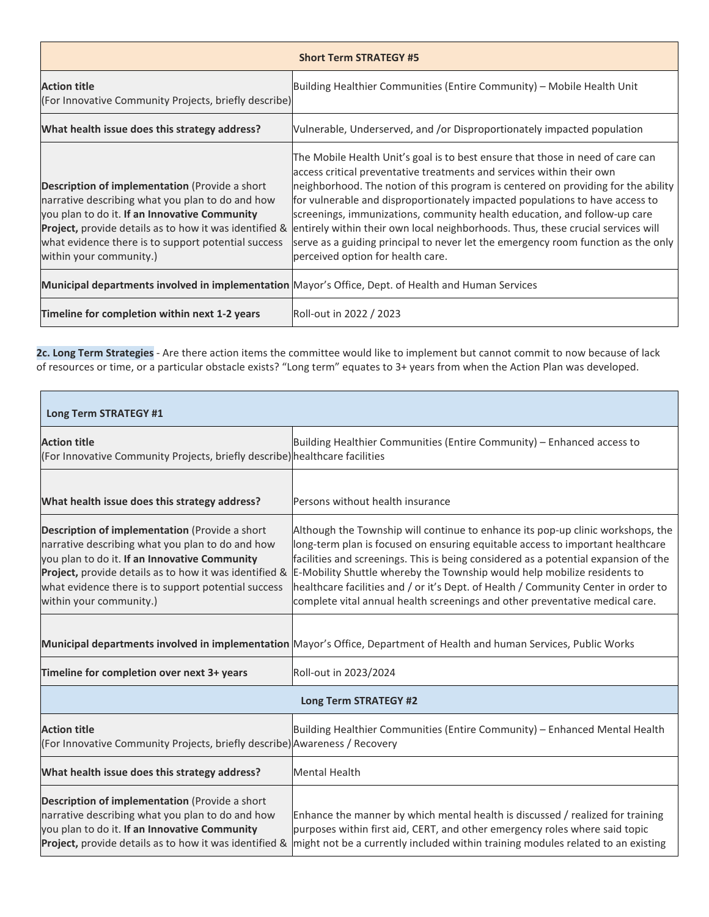| <b>Short Term STRATEGY #5</b>                                                                                                                                                                                                                                                                          |                                                                                                                                                                                                                                                                                                                                                                                                                                                                                                                                                                                                                         |
|--------------------------------------------------------------------------------------------------------------------------------------------------------------------------------------------------------------------------------------------------------------------------------------------------------|-------------------------------------------------------------------------------------------------------------------------------------------------------------------------------------------------------------------------------------------------------------------------------------------------------------------------------------------------------------------------------------------------------------------------------------------------------------------------------------------------------------------------------------------------------------------------------------------------------------------------|
| <b>Action title</b><br>(For Innovative Community Projects, briefly describe)                                                                                                                                                                                                                           | Building Healthier Communities (Entire Community) – Mobile Health Unit                                                                                                                                                                                                                                                                                                                                                                                                                                                                                                                                                  |
| What health issue does this strategy address?                                                                                                                                                                                                                                                          | Vulnerable, Underserved, and /or Disproportionately impacted population                                                                                                                                                                                                                                                                                                                                                                                                                                                                                                                                                 |
| <b>Description of implementation</b> (Provide a short<br>narrative describing what you plan to do and how<br>you plan to do it. If an Innovative Community<br>Project, provide details as to how it was identified &<br>what evidence there is to support potential success<br>within your community.) | The Mobile Health Unit's goal is to best ensure that those in need of care can<br>access critical preventative treatments and services within their own<br>neighborhood. The notion of this program is centered on providing for the ability<br>for vulnerable and disproportionately impacted populations to have access to<br>screenings, immunizations, community health education, and follow-up care<br>entirely within their own local neighborhoods. Thus, these crucial services will<br>serve as a guiding principal to never let the emergency room function as the only<br>perceived option for health care. |
| Municipal departments involved in implementation Mayor's Office, Dept. of Health and Human Services                                                                                                                                                                                                    |                                                                                                                                                                                                                                                                                                                                                                                                                                                                                                                                                                                                                         |
| Timeline for completion within next 1-2 years                                                                                                                                                                                                                                                          | Roll-out in 2022 / 2023                                                                                                                                                                                                                                                                                                                                                                                                                                                                                                                                                                                                 |

**2c. Long Term Strategies** - Are there action items the committee would like to implement but cannot commit to now because of lack of resources or time, or a particular obstacle exists? "Long term" equates to 3+ years from when the Action Plan was developed.

| Long Term STRATEGY #1                                                                                                                                                                                                                                                                           |                                                                                                                                                                                                                                                                                                                                                                                                                                                                                                            |  |
|-------------------------------------------------------------------------------------------------------------------------------------------------------------------------------------------------------------------------------------------------------------------------------------------------|------------------------------------------------------------------------------------------------------------------------------------------------------------------------------------------------------------------------------------------------------------------------------------------------------------------------------------------------------------------------------------------------------------------------------------------------------------------------------------------------------------|--|
| <b>Action title</b><br>(For Innovative Community Projects, briefly describe) healthcare facilities                                                                                                                                                                                              | Building Healthier Communities (Entire Community) - Enhanced access to                                                                                                                                                                                                                                                                                                                                                                                                                                     |  |
| What health issue does this strategy address?                                                                                                                                                                                                                                                   | Persons without health insurance                                                                                                                                                                                                                                                                                                                                                                                                                                                                           |  |
| Description of implementation (Provide a short<br>narrative describing what you plan to do and how<br>you plan to do it. If an Innovative Community<br>Project, provide details as to how it was identified &<br>what evidence there is to support potential success<br>within your community.) | Although the Township will continue to enhance its pop-up clinic workshops, the<br>long-term plan is focused on ensuring equitable access to important healthcare<br>facilities and screenings. This is being considered as a potential expansion of the<br>E-Mobility Shuttle whereby the Township would help mobilize residents to<br>healthcare facilities and / or it's Dept. of Health / Community Center in order to<br>complete vital annual health screenings and other preventative medical care. |  |
|                                                                                                                                                                                                                                                                                                 | Municipal departments involved in implementation Mayor's Office, Department of Health and human Services, Public Works                                                                                                                                                                                                                                                                                                                                                                                     |  |
| Timeline for completion over next 3+ years                                                                                                                                                                                                                                                      | Roll-out in 2023/2024                                                                                                                                                                                                                                                                                                                                                                                                                                                                                      |  |
| <b>Long Term STRATEGY #2</b>                                                                                                                                                                                                                                                                    |                                                                                                                                                                                                                                                                                                                                                                                                                                                                                                            |  |
| <b>Action title</b><br>(For Innovative Community Projects, briefly describe) Awareness / Recovery                                                                                                                                                                                               | Building Healthier Communities (Entire Community) - Enhanced Mental Health                                                                                                                                                                                                                                                                                                                                                                                                                                 |  |
| What health issue does this strategy address?                                                                                                                                                                                                                                                   | <b>Mental Health</b>                                                                                                                                                                                                                                                                                                                                                                                                                                                                                       |  |
| Description of implementation (Provide a short<br>narrative describing what you plan to do and how<br>you plan to do it. If an Innovative Community<br>Project, provide details as to how it was identified &                                                                                   | Enhance the manner by which mental health is discussed / realized for training<br>purposes within first aid, CERT, and other emergency roles where said topic<br>might not be a currently included within training modules related to an existing                                                                                                                                                                                                                                                          |  |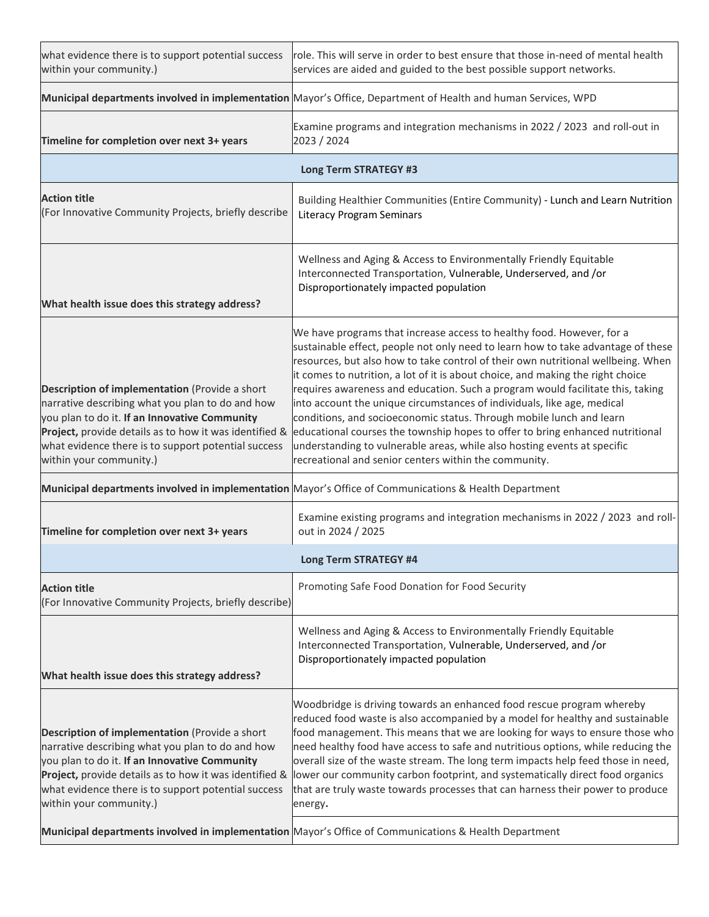| what evidence there is to support potential success<br>within your community.)                                                                                                                                                                                                                  | role. This will serve in order to best ensure that those in-need of mental health<br>services are aided and guided to the best possible support networks.                                                                                                                                                                                                                                                                                                                                                                                                                                                                                                                                                                                                                                   |
|-------------------------------------------------------------------------------------------------------------------------------------------------------------------------------------------------------------------------------------------------------------------------------------------------|---------------------------------------------------------------------------------------------------------------------------------------------------------------------------------------------------------------------------------------------------------------------------------------------------------------------------------------------------------------------------------------------------------------------------------------------------------------------------------------------------------------------------------------------------------------------------------------------------------------------------------------------------------------------------------------------------------------------------------------------------------------------------------------------|
|                                                                                                                                                                                                                                                                                                 | Municipal departments involved in implementation Mayor's Office, Department of Health and human Services, WPD                                                                                                                                                                                                                                                                                                                                                                                                                                                                                                                                                                                                                                                                               |
| Timeline for completion over next 3+ years                                                                                                                                                                                                                                                      | Examine programs and integration mechanisms in 2022 / 2023 and roll-out in<br>2023 / 2024                                                                                                                                                                                                                                                                                                                                                                                                                                                                                                                                                                                                                                                                                                   |
|                                                                                                                                                                                                                                                                                                 | <b>Long Term STRATEGY #3</b>                                                                                                                                                                                                                                                                                                                                                                                                                                                                                                                                                                                                                                                                                                                                                                |
| <b>Action title</b><br>(For Innovative Community Projects, briefly describe                                                                                                                                                                                                                     | Building Healthier Communities (Entire Community) - Lunch and Learn Nutrition<br><b>Literacy Program Seminars</b>                                                                                                                                                                                                                                                                                                                                                                                                                                                                                                                                                                                                                                                                           |
| What health issue does this strategy address?                                                                                                                                                                                                                                                   | Wellness and Aging & Access to Environmentally Friendly Equitable<br>Interconnected Transportation, Vulnerable, Underserved, and /or<br>Disproportionately impacted population                                                                                                                                                                                                                                                                                                                                                                                                                                                                                                                                                                                                              |
| Description of implementation (Provide a short<br>narrative describing what you plan to do and how<br>you plan to do it. If an Innovative Community<br>Project, provide details as to how it was identified &<br>what evidence there is to support potential success<br>within your community.) | We have programs that increase access to healthy food. However, for a<br>sustainable effect, people not only need to learn how to take advantage of these<br>resources, but also how to take control of their own nutritional wellbeing. When<br>it comes to nutrition, a lot of it is about choice, and making the right choice<br>requires awareness and education. Such a program would facilitate this, taking<br>into account the unique circumstances of individuals, like age, medical<br>conditions, and socioeconomic status. Through mobile lunch and learn<br>educational courses the township hopes to offer to bring enhanced nutritional<br>understanding to vulnerable areas, while also hosting events at specific<br>recreational and senior centers within the community. |
|                                                                                                                                                                                                                                                                                                 | Municipal departments involved in implementation Mayor's Office of Communications & Health Department                                                                                                                                                                                                                                                                                                                                                                                                                                                                                                                                                                                                                                                                                       |
| Timeline for completion over next 3+ years                                                                                                                                                                                                                                                      | Examine existing programs and integration mechanisms in 2022 / 2023 and roll-<br>out in 2024 / 2025                                                                                                                                                                                                                                                                                                                                                                                                                                                                                                                                                                                                                                                                                         |
|                                                                                                                                                                                                                                                                                                 | Long Term STRATEGY #4                                                                                                                                                                                                                                                                                                                                                                                                                                                                                                                                                                                                                                                                                                                                                                       |
| <b>Action title</b><br>(For Innovative Community Projects, briefly describe)                                                                                                                                                                                                                    | Promoting Safe Food Donation for Food Security                                                                                                                                                                                                                                                                                                                                                                                                                                                                                                                                                                                                                                                                                                                                              |
| What health issue does this strategy address?                                                                                                                                                                                                                                                   | Wellness and Aging & Access to Environmentally Friendly Equitable<br>Interconnected Transportation, Vulnerable, Underserved, and /or<br>Disproportionately impacted population                                                                                                                                                                                                                                                                                                                                                                                                                                                                                                                                                                                                              |
| Description of implementation (Provide a short<br>narrative describing what you plan to do and how<br>you plan to do it. If an Innovative Community<br>Project, provide details as to how it was identified &<br>what evidence there is to support potential success<br>within your community.) | Woodbridge is driving towards an enhanced food rescue program whereby<br>reduced food waste is also accompanied by a model for healthy and sustainable<br>food management. This means that we are looking for ways to ensure those who<br>need healthy food have access to safe and nutritious options, while reducing the<br>overall size of the waste stream. The long term impacts help feed those in need,<br>lower our community carbon footprint, and systematically direct food organics<br>that are truly waste towards processes that can harness their power to produce<br>energy.                                                                                                                                                                                                |
|                                                                                                                                                                                                                                                                                                 | Municipal departments involved in implementation Mayor's Office of Communications & Health Department                                                                                                                                                                                                                                                                                                                                                                                                                                                                                                                                                                                                                                                                                       |